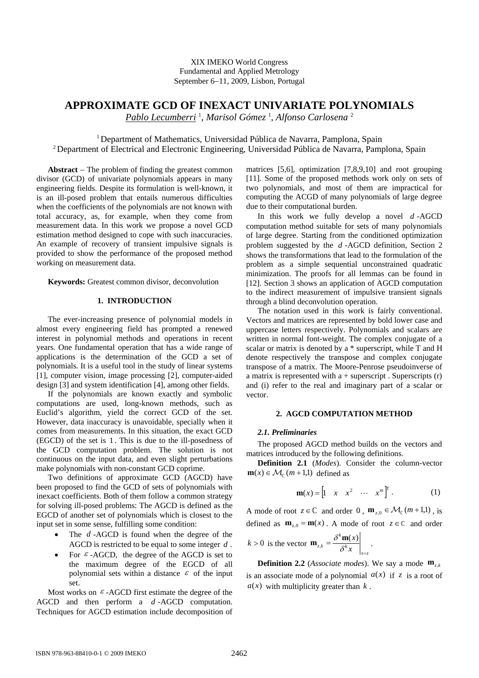# XIX IMEKO World Congress Fundamental and Applied Metrology September 6−11, 2009, Lisbon, Portugal

# **APPROXIMATE GCD OF INEXACT UNIVARIATE POLYNOMIALS**

*Pablo Lecumberri* <sup>1</sup> , *Marisol Gómez* <sup>1</sup> , *Alfonso Carlosena* <sup>2</sup>

<sup>1</sup> Department of Mathematics, Universidad Pública de Navarra, Pamplona, Spain 2 Department of Electrical and Electronic Engineering, Universidad Pública de Navarra, Pamplona, Spain

**Abstract** − The problem of finding the greatest common divisor (GCD) of univariate polynomials appears in many engineering fields. Despite its formulation is well-known, it is an ill-posed problem that entails numerous difficulties when the coefficients of the polynomials are not known with total accuracy, as, for example, when they come from measurement data. In this work we propose a novel GCD estimation method designed to cope with such inaccuracies. An example of recovery of transient impulsive signals is provided to show the performance of the proposed method working on measurement data.

**Keywords:** Greatest common divisor, deconvolution

## **1. INTRODUCTION**

The ever-increasing presence of polynomial models in almost every engineering field has prompted a renewed interest in polynomial methods and operations in recent years. One fundamental operation that has a wide range of applications is the determination of the GCD a set of polynomials. It is a useful tool in the study of linear systems [1], computer vision, image processing [2], computer-aided design [3] and system identification [4], among other fields.

If the polynomials are known exactly and symbolic computations are used, long-known methods, such as Euclid's algorithm, yield the correct GCD of the set. However, data inaccuracy is unavoidable, specially when it comes from measurements. In this situation, the exact GCD (EGCD) of the set is 1 . This is due to the ill-posedness of the GCD computation problem. The solution is not continuous on the input data, and even slight perturbations make polynomials with non-constant GCD coprime.

Two definitions of approximate GCD (AGCD) have been proposed to find the GCD of sets of polynomials with inexact coefficients. Both of them follow a common strategy for solving ill-posed problems: The AGCD is defined as the EGCD of another set of polynomials which is closest to the input set in some sense, fulfilling some condition:

- The *d* -AGCD is found when the degree of the AGCD is restricted to be equal to some integer *d* .
- For  $\epsilon$ -AGCD, the degree of the AGCD is set to the maximum degree of the EGCD of all polynomial sets within a distance  $\varepsilon$  of the input set.

Most works on  $\epsilon$ -AGCD first estimate the degree of the AGCD and then perform a *d* -AGCD computation. Techniques for AGCD estimation include decomposition of matrices [5,6], optimization [7,8,9,10] and root grouping [11]. Some of the proposed methods work only on sets of two polynomials, and most of them are impractical for computing the ACGD of many polynomials of large degree due to their computational burden.

In this work we fully develop a novel *d* -AGCD computation method suitable for sets of many polynomials of large degree. Starting from the conditioned optimization problem suggested by the *d* -AGCD definition, Section 2 shows the transformations that lead to the formulation of the problem as a simple sequential unconstrained quadratic minimization. The proofs for all lemmas can be found in [12]. Section 3 shows an application of AGCD computation to the indirect measurement of impulsive transient signals through a blind deconvolution operation.

The notation used in this work is fairly conventional. Vectors and matrices are represented by bold lower case and uppercase letters respectively. Polynomials and scalars are written in normal font-weight. The complex conjugate of a scalar or matrix is denoted by a \* superscript, while T and H denote respectively the transpose and complex conjugate transpose of a matrix. The Moore-Penrose pseudoinverse of a matrix is represented with  $a +$  superscript . Superscripts  $(r)$ and (i) refer to the real and imaginary part of a scalar or vector.

# **2. AGCD COMPUTATION METHOD**

# *2.1. Preliminaries*

The proposed AGCD method builds on the vectors and matrices introduced by the following definitions.

**Definition 2.1** (*Modes*). Consider the column-vector  $\mathbf{m}(x) \in \mathcal{M}_{\infty}(m+1,1)$  defined as

$$
\mathbf{m}(x) = \begin{bmatrix} 1 & x & x^2 & \cdots & x^m \end{bmatrix}^{\mathrm{T}}.
$$
 (1)

A mode of root  $z \in \mathbb{C}$  and order 0,  $\mathbf{m}_{z,0} \in \mathcal{M}_{\mathbb{C}}(m+1,1)$ , is defined as  $\mathbf{m}_{z,0} = \mathbf{m}(x)$ . A mode of root  $z \in \mathbb{C}$  and order

$$
k > 0
$$
 is the vector  $\mathbf{m}_{z,k} = \frac{\partial^k \mathbf{m}(x)}{\partial^k x}\Big|_{x=z}$ .

**Definition 2.2** (*Associate modes*). We say a mode  $\mathbf{m}_{z,k}$ is an associate mode of a polynomial  $a(x)$  if z is a root of  $a(x)$  with multiplicity greater than  $k$ .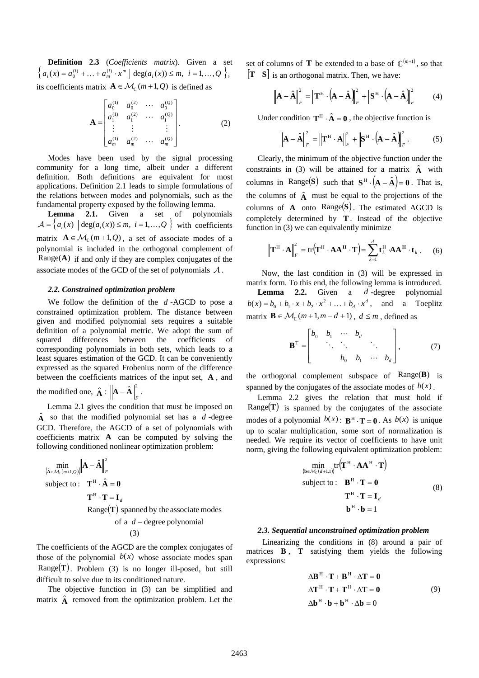**Definition 2.3** (*Coefficients matrix*). Given a set  ${ a_i(x) = a_0^{(i)} + ... + a_m^{(i)} \cdot x^m \mid \text{deg}(a_i(x)) \leq m, i = 1,...,Q }$ its coefficients matrix  $A \in M_{\Gamma}(m+1, Q)$  is defined as

$$
\mathbf{A} = \begin{bmatrix} a_0^{(1)} & a_0^{(2)} & \cdots & a_0^{(Q)} \\ a_1^{(1)} & a_1^{(2)} & \cdots & a_1^{(Q)} \\ \vdots & \vdots & & \vdots \\ a_m^{(1)} & a_m^{(2)} & \cdots & a_m^{(Q)} \end{bmatrix} .
$$
 (2)

Modes have been used by the signal processing community for a long time, albeit under a different definition. Both definitions are equivalent for most applications. Definition 2.1 leads to simple formulations of the relations between modes and polynomials, such as the fundamental property exposed by the following lemma.

**Lemma 2.1.** Given a set of polynomials  $\mathcal{A} = \{a_i(x) \mid \text{deg}(a_i(x)) \leq m, i = 1,...,Q\}$  with coefficients matrix  $A \in \mathcal{M}_{\mathbb{C}}(m+1, Q)$ , a set of associate modes of a polynomial is included in the orthogonal complement of Range(**A**) if and only if they are complex conjugates of the associate modes of the GCD of the set of polynomials  $A$ .

## *2.2. Constrained optimization problem*

We follow the definition of the *d* -AGCD to pose a constrained optimization problem. The distance between given and modified polynomial sets requires a suitable definition of a polynomial metric. We adopt the sum of squared differences between the coefficients of corresponding polynomials in both sets, which leads to a least squares estimation of the GCD. It can be conveniently expressed as the squared Frobenius norm of the difference between the coefficients matrices of the input set, **A** , and

the modified one,  $\hat{\mathbf{A}}$  :  $\left\|\mathbf{A} - \hat{\mathbf{A}}\right\|_{F}^{2}$ .

Lemma 2.1 gives the condition that must be imposed on  $\hat{A}$  so that the modified polynomial set has a *d*-degree GCD. Therefore, the AGCD of a set of polynomials with coefficients matrix **A** can be computed by solving the following conditioned nonlinear optimization problem:

$$
\min_{\{\hat{\mathbf{A}} \in \mathcal{M}_{\mathbb{C}}(m+1,Q)\}} \|\mathbf{A} - \hat{\mathbf{A}}\|_{F}^{2}
$$
\nsubject to:  $\mathbf{T}^{H} \cdot \hat{\mathbf{A}} = \mathbf{0}$   
\n $\mathbf{T}^{H} \cdot \mathbf{T} = \mathbf{I}_{d}$   
\nRange(T) spanned by the associate modes  
\nof a  $d$  – degree polynomial  
\n(3)

The coefficients of the AGCD are the complex conjugates of those of the polynomial  $b(x)$  whose associate modes span  $Range(T)$ . Problem (3) is no longer ill-posed, but still difficult to solve due to its conditioned nature.

The objective function in (3) can be simplified and matrix  $\hat{A}$  removed from the optimization problem. Let the set of columns of **T** be extended to a base of  $\mathbb{C}^{(m+1)}$ , so that [**T S**] is an orthogonal matrix. Then, we have:

$$
\left\| \mathbf{A} - \hat{\mathbf{A}} \right\|_{F}^{2} = \left\| \mathbf{T}^{\mathrm{H}} \cdot \left( \mathbf{A} - \hat{\mathbf{A}} \right) \right\|_{F}^{2} + \left\| \mathbf{S}^{\mathrm{H}} \cdot \left( \mathbf{A} - \hat{\mathbf{A}} \right) \right\|_{F}^{2} \tag{4}
$$

Under condition  $T^H \cdot \hat{A} = 0$ , the objective function is

$$
\left\| \mathbf{A} - \hat{\mathbf{A}} \right\|_{F}^{2} = \left\| \mathbf{T}^{H} \cdot \mathbf{A} \right\|_{F}^{2} + \left\| \mathbf{S}^{H} \cdot \left( \mathbf{A} - \hat{\mathbf{A}} \right) \right\|_{F}^{2}.
$$
 (5)

Clearly, the minimum of the objective function under the constraints in (3) will be attained for a matrix  $\hat{A}$  with columns in Range(S) such that  $S^H \cdot (A - \hat{A}) = 0$ . That is, the columns of  $\hat{A}$  must be equal to the projections of the columns of  $\bf{A}$  onto Range $(\bf{S})$ . The estimated AGCD is completely determined by **T**. Instead of the objective function in (3) we can equivalently minimize

$$
\left\| \mathbf{T}^{\mathrm{H}} \cdot \mathbf{A} \right\|_{F}^{2} = \text{tr} \left( \mathbf{T}^{\mathrm{H}} \cdot \mathbf{A} \mathbf{A}^{\mathrm{H}} \cdot \mathbf{T} \right) = \sum_{k=1}^{d} \mathbf{t}_{k}^{\mathrm{H}} \cdot \mathbf{A} \mathbf{A}^{\mathrm{H}} \cdot \mathbf{t}_{k} \,. \tag{6}
$$

 Now, the last condition in (3) will be expressed in matrix form. To this end, the following lemma is introduced. **Lemma 2.2.** Given a *d* -degree polynomial  $b(x) = b_0 + b_1 \cdot x + b_2 \cdot x^2 + ... + b_d \cdot x^d$ , and a Toeplitz matrix  $\mathbf{B} \in \mathcal{M}_{\epsilon}(m+1,m-d+1)$ ,  $d \leq m$ , defined as

$$
\mathbf{B}^{\mathrm{T}} = \begin{bmatrix} b_0 & b_1 & \cdots & b_d \\ & \ddots & \ddots & & \ddots \\ & & b_0 & b_1 & \cdots & b_d \end{bmatrix},\tag{7}
$$

the orthogonal complement subspace of Range(**B**) is spanned by the conjugates of the associate modes of  $b(x)$ .

Lemma 2.2 gives the relation that must hold if Range(**T**) is spanned by the conjugates of the associate modes of a polynomial  $b(x)$ :  $\mathbf{B}^H \cdot \mathbf{T} = 0$ . As  $b(x)$  is unique up to scalar multiplication, some sort of normalization is needed. We require its vector of coefficients to have unit norm, giving the following equivalent optimization problem:

$$
\min_{\{\mathbf{b}\in\mathcal{M}_{c}(d+1,1)\}} tr(\mathbf{T}^{H} \cdot \mathbf{A}\mathbf{A}^{H} \cdot \mathbf{T})
$$
\nsubject to: 
$$
\mathbf{B}^{H} \cdot \mathbf{T} = \mathbf{0}
$$
\n
$$
\mathbf{T}^{H} \cdot \mathbf{T} = \mathbf{I}_{d}
$$
\n
$$
\mathbf{b}^{H} \cdot \mathbf{b} = 1
$$
\n(8)

#### *2.3. Sequential unconstrained optimization problem*

 Linearizing the conditions in (8) around a pair of matrices **B** , **T** satisfying them yields the following expressions:

$$
\Delta \mathbf{B}^{H} \cdot \mathbf{T} + \mathbf{B}^{H} \cdot \Delta \mathbf{T} = \mathbf{0}
$$
  
\n
$$
\Delta \mathbf{T}^{H} \cdot \mathbf{T} + \mathbf{T}^{H} \cdot \Delta \mathbf{T} = \mathbf{0}
$$
  
\n
$$
\Delta \mathbf{b}^{H} \cdot \mathbf{b} + \mathbf{b}^{H} \cdot \Delta \mathbf{b} = 0
$$
\n(9)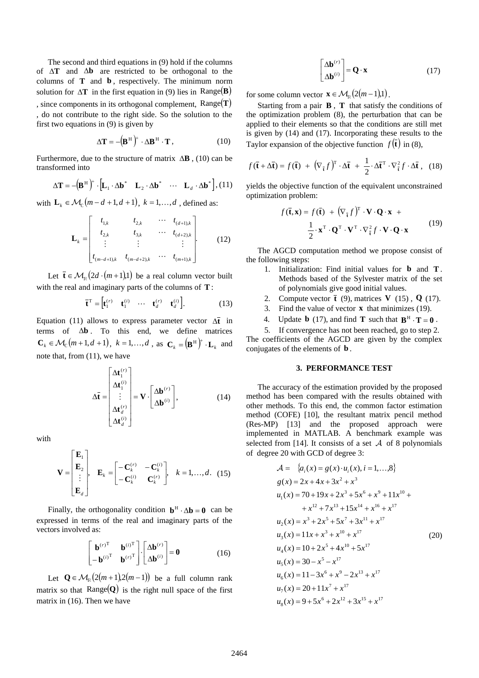The second and third equations in (9) hold if the columns of Δ**T** and Δ**b** are restricted to be orthogonal to the columns of **T** and **b** , respectively. The minimum norm solution for  $\Delta T$  in the first equation in (9) lies in Range(**B**) , since components in its orthogonal complement, Range(**T**) , do not contribute to the right side. So the solution to the first two equations in (9) is given by

$$
\Delta \mathbf{T} = -(\mathbf{B}^{\mathrm{H}})^{\dagger} \cdot \Delta \mathbf{B}^{\mathrm{H}} \cdot \mathbf{T}, \qquad (10)
$$

Furthermore, due to the structure of matrix Δ**B** , (10) can be transformed into

$$
\Delta \mathbf{T} = -(\mathbf{B}^{\mathrm{H}})^{\dagger} \cdot [\mathbf{L}_{1} \cdot \Delta \mathbf{b}^* \quad \mathbf{L}_{2} \cdot \Delta \mathbf{b}^* \quad \cdots \quad \mathbf{L}_{d} \cdot \Delta \mathbf{b}^*], (11)
$$

with  $\mathbf{L}_k \in \mathcal{M}_{\epsilon}$   $(m-d+1, d+1), k = 1, \ldots, d$ , defined as:

$$
\mathbf{L}_{k} = \begin{bmatrix} t_{1,k} & t_{2,k} & \cdots & t_{(d+1),k} \\ t_{2,k} & t_{3,k} & \cdots & t_{(d+2),k} \\ \vdots & \vdots & & \vdots \\ t_{(m-d+1),k} & t_{(m-d+2),k} & \cdots & t_{(m+1),k} \end{bmatrix} .
$$
 (12)

Let  $\mathbf{\bar{t}} \in \mathcal{M}_{p} (2d \cdot (m+1) 1)$  be a real column vector built with the real and imaginary parts of the columns of **T**:

$$
\overline{\mathbf{t}}^{\mathrm{T}} = \begin{bmatrix} \mathbf{t}_{1}^{(r)} & \mathbf{t}_{1}^{(i)} & \cdots & \mathbf{t}_{d}^{(r)} & \mathbf{t}_{d}^{(i)} \end{bmatrix} . \tag{13}
$$

Equation (11) allows to express parameter vector  $\Delta \vec{t}$  in terms of Δ**b** . To this end, we define matrices  $\mathbf{C}_k \in \mathcal{M}_{\mathbb{C}}(m+1, d+1), k = 1, \ldots, d$ , as  $\mathbf{C}_k = (\mathbf{B}^{\mathrm{H}})^+ \cdot \mathbf{L}_k$  and note that, from (11), we have

$$
\Delta \overline{\mathbf{t}} = \begin{bmatrix} \Delta \mathbf{t}_{1}^{(r)} \\ \Delta \mathbf{t}_{1}^{(i)} \\ \vdots \\ \Delta \mathbf{t}_{d}^{(r)} \\ \Delta \mathbf{t}_{d}^{(i)} \end{bmatrix} = \mathbf{V} \cdot \begin{bmatrix} \Delta \mathbf{b}^{(r)} \\ \Delta \mathbf{b}^{(i)} \end{bmatrix},
$$
(14)

with

$$
\mathbf{V} = \begin{bmatrix} \mathbf{E}_1 \\ \mathbf{E}_2 \\ \vdots \\ \mathbf{E}_d \end{bmatrix}, \quad \mathbf{E}_k = \begin{bmatrix} -\mathbf{C}_k^{(r)} & -\mathbf{C}_k^{(i)} \\ -\mathbf{C}_k^{(i)} & \mathbf{C}_k^{(r)} \end{bmatrix}, \quad k = 1, ..., d. \quad (15)
$$

Finally, the orthogonality condition  $\mathbf{b}^H \cdot \Delta \mathbf{b} = 0$  can be expressed in terms of the real and imaginary parts of the vectors involved as:

$$
\begin{bmatrix} \mathbf{b}^{(r)^{\mathrm{T}}} & \mathbf{b}^{(i)^{\mathrm{T}}} \\ -\mathbf{b}^{(i)^{\mathrm{T}}} & \mathbf{b}^{(r)^{\mathrm{T}}} \end{bmatrix} \cdot \begin{bmatrix} \Delta \mathbf{b}^{(r)} \\ \Delta \mathbf{b}^{(i)} \end{bmatrix} = \mathbf{0}
$$
 (16)

Let **Q**∈ $\mathcal{M}_p$  (2(*m* + 1),2(*m* − 1)) be a full column rank matrix so that Range $(Q)$  is the right null space of the first matrix in (16). Then we have

$$
\begin{bmatrix} \Delta \mathbf{b}^{(r)} \\ \Delta \mathbf{b}^{(i)} \end{bmatrix} = \mathbf{Q} \cdot \mathbf{x}
$$
 (17)

for some column vector  $\mathbf{x} \in \mathcal{M}_{p} (2(m-1) 1)$ .

Starting from a pair **B** , **T** that satisfy the conditions of the optimization problem (8), the perturbation that can be applied to their elements so that the conditions are still met is given by (14) and (17). Incorporating these results to the Taylor expansion of the objective function  $f(\bar{t})$  in (8),

$$
f(\overline{\mathbf{t}} + \Delta \overline{\mathbf{t}}) = f(\overline{\mathbf{t}}) + (\nabla_{\overline{\mathbf{t}}} f)^{\mathrm{T}} \cdot \Delta \overline{\mathbf{t}} + \frac{1}{2} \cdot \Delta \overline{\mathbf{t}}^{\mathrm{T}} \cdot \nabla_{\overline{\mathbf{t}}}^{2} f \cdot \Delta \overline{\mathbf{t}} , \quad (18)
$$

yields the objective function of the equivalent unconstrained optimization problem:

$$
f(\mathbf{\bar{t}}, \mathbf{x}) = f(\mathbf{\bar{t}}) + (\nabla_{\mathbf{\bar{t}}} f)^{\mathrm{T}} \cdot \mathbf{V} \cdot \mathbf{Q} \cdot \mathbf{x} + \frac{1}{2} \cdot \mathbf{x}^{\mathrm{T}} \cdot \mathbf{Q}^{\mathrm{T}} \cdot \mathbf{V}^{\mathrm{T}} \cdot \nabla_{\mathbf{\bar{t}}}^{2} f \cdot \mathbf{V} \cdot \mathbf{Q} \cdot \mathbf{x}
$$
(19)

The AGCD computation method we propose consist of the following steps:

- 1. Initialization: Find initial values for **b** and **T** . Methods based of the Sylvester matrix of the set of polynomials give good initial values.
- 2. Compute vector  $\bf{\bar{t}}$  (9), matrices **V** (15), **Q** (17).
- 3. Find the value of vector **x** that minimizes (19).
- 4. Update **b** (17), and find **T** such that  $\mathbf{B}^H \cdot \mathbf{T} = 0$ .

5. If convergence has not been reached, go to step 2. The coefficients of the AGCD are given by the complex conjugates of the elements of **b** .

#### **3. PERFORMANCE TEST**

The accuracy of the estimation provided by the proposed method has been compared with the results obtained with other methods. To this end, the common factor estimation method (COFE) [10], the resultant matrix pencil method (Res-MP) [13] and the proposed approach were implemented in MATLAB. A benchmark example was selected from [14]. It consists of a set  $A$  of 8 polynomials of degree 20 with GCD of degree 3:

$$
\mathcal{A} = \{a_i(x) = g(x) \cdot u_i(x), i = 1,...,8\}
$$
  
\n
$$
g(x) = 2x + 4x + 3x^2 + x^3
$$
  
\n
$$
u_1(x) = 70 + 19x + 2x^3 + 5x^6 + x^9 + 11x^{10} +
$$
  
\n
$$
+ x^{12} + 7x^{13} + 15x^{14} + x^{16} + x^{17}
$$
  
\n
$$
u_2(x) = x^3 + 2x^5 + 5x^7 + 3x^{11} + x^{17}
$$
  
\n
$$
u_3(x) = 11x + x^3 + x^{10} + x^{17}
$$
  
\n
$$
u_4(x) = 10 + 2x^5 + 4x^{10} + 5x^{17}
$$
  
\n
$$
u_5(x) = 30 - x^5 - x^{17}
$$
  
\n
$$
u_6(x) = 11 - 3x^6 + x^9 - 2x^{13} + x^{17}
$$
  
\n
$$
u_7(x) = 20 + 11x^7 + x^{17}
$$
  
\n
$$
u_8(x) = 9 + 5x^6 + 2x^{12} + 3x^{15} + x^{17}
$$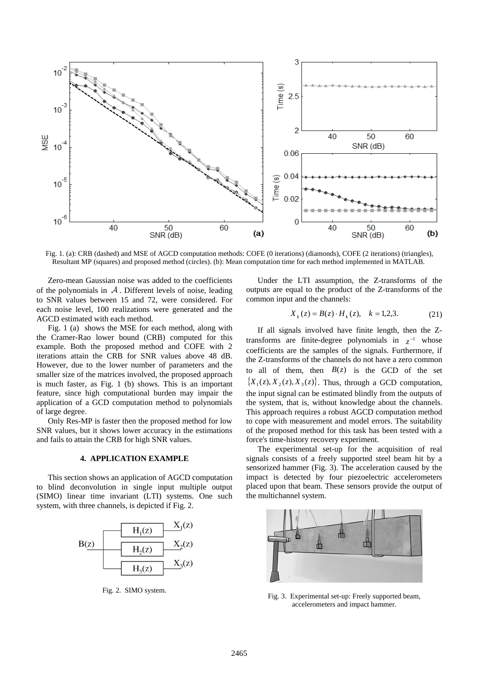

Fig. 1. (a): CRB (dashed) and MSE of AGCD computation methods: COFE (0 iterations) (diamonds), COFE (2 iterations) (triangles), Resultant MP (squares) and proposed method (circles). (b): Mean computation time for each method implemented in MATLAB.

Zero-mean Gaussian noise was added to the coefficients of the polynomials in  $A$ . Different levels of noise, leading to SNR values between 15 and 72, were considered. For each noise level, 100 realizations were generated and the AGCD estimated with each method.

Fig. 1 (a) shows the MSE for each method, along with the Cramer-Rao lower bound (CRB) computed for this example. Both the proposed method and COFE with 2 iterations attain the CRB for SNR values above 48 dB. However, due to the lower number of parameters and the smaller size of the matrices involved, the proposed approach is much faster, as Fig. 1 (b) shows. This is an important feature, since high computational burden may impair the application of a GCD computation method to polynomials of large degree.

Only Res-MP is faster then the proposed method for low SNR values, but it shows lower accuracy in the estimations and fails to attain the CRB for high SNR values.

## **4. APPLICATION EXAMPLE**

This section shows an application of AGCD computation to blind deconvolution in single input multiple output (SIMO) linear time invariant (LTI) systems. One such system, with three channels, is depicted if Fig. 2.



Fig. 2. SIMO system.

Under the LTI assumption, the Z-transforms of the outputs are equal to the product of the Z-transforms of the common input and the channels:

$$
X_k(z) = B(z) \cdot H_k(z), \quad k = 1, 2, 3. \tag{21}
$$

If all signals involved have finite length, then the Ztransforms are finite-degree polynomials in  $z^{-1}$  whose coefficients are the samples of the signals. Furthermore, if the Z-transforms of the channels do not have a zero common to all of them, then  $B(z)$  is the GCD of the set  ${X_1(z), X_2(z), X_3(z)}$ . Thus, through a GCD computation, the input signal can be estimated blindly from the outputs of the system, that is, without knowledge about the channels. This approach requires a robust AGCD computation method to cope with measurement and model errors. The suitability of the proposed method for this task has been tested with a force's time-history recovery experiment.

The experimental set-up for the acquisition of real signals consists of a freely supported steel beam hit by a sensorized hammer (Fig. 3). The acceleration caused by the impact is detected by four piezoelectric accelerometers placed upon that beam. These sensors provide the output of the multichannel system.



Fig. 3. Experimental set-up: Freely supported beam, accelerometers and impact hammer.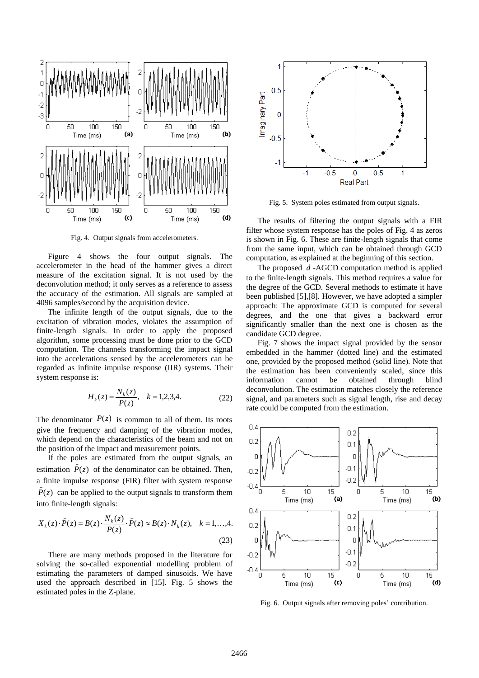

Fig. 4. Output signals from accelerometers.

Figure 4 shows the four output signals. The accelerometer in the head of the hammer gives a direct measure of the excitation signal. It is not used by the deconvolution method; it only serves as a reference to assess the accuracy of the estimation. All signals are sampled at 4096 samples/second by the acquisition device.

The infinite length of the output signals, due to the excitation of vibration modes, violates the assumption of finite-length signals. In order to apply the proposed algorithm, some processing must be done prior to the GCD computation. The channels transforming the impact signal into the accelerations sensed by the accelerometers can be regarded as infinite impulse response (IIR) systems. Their system response is:

$$
H_k(z) = \frac{N_k(z)}{P(z)}, \quad k = 1, 2, 3, 4. \tag{22}
$$

The denominator  $P(z)$  is common to all of them. Its roots give the frequency and damping of the vibration modes, which depend on the characteristics of the beam and not on the position of the impact and measurement points.

If the poles are estimated from the output signals, an estimation  $P(z)$  of the denominator can be obtained. Then, a finite impulse response (FIR) filter with system response  $P(z)$  can be applied to the output signals to transform them into finite-length signals:

$$
X_k(z) \cdot \widehat{P}(z) = B(z) \cdot \frac{N_k(z)}{P(z)} \cdot \widehat{P}(z) \approx B(z) \cdot N_k(z), \quad k = 1, \dots, 4.
$$
\n(23)

There are many methods proposed in the literature for solving the so-called exponential modelling problem of estimating the parameters of damped sinusoids. We have used the approach described in [15]. Fig. 5 shows the estimated poles in the Z-plane.



Fig. 5. System poles estimated from output signals.

The results of filtering the output signals with a FIR filter whose system response has the poles of Fig. 4 as zeros is shown in Fig. 6. These are finite-length signals that come from the same input, which can be obtained through GCD computation, as explained at the beginning of this section.

The proposed *d* -AGCD computation method is applied to the finite-length signals. This method requires a value for the degree of the GCD. Several methods to estimate it have been published [5],[8]. However, we have adopted a simpler approach: The approximate GCD is computed for several degrees, and the one that gives a backward error significantly smaller than the next one is chosen as the candidate GCD degree.

Fig. 7 shows the impact signal provided by the sensor embedded in the hammer (dotted line) and the estimated one, provided by the proposed method (solid line). Note that the estimation has been conveniently scaled, since this information cannot be obtained through blind deconvolution. The estimation matches closely the reference signal, and parameters such as signal length, rise and decay rate could be computed from the estimation.



Fig. 6. Output signals after removing poles' contribution.